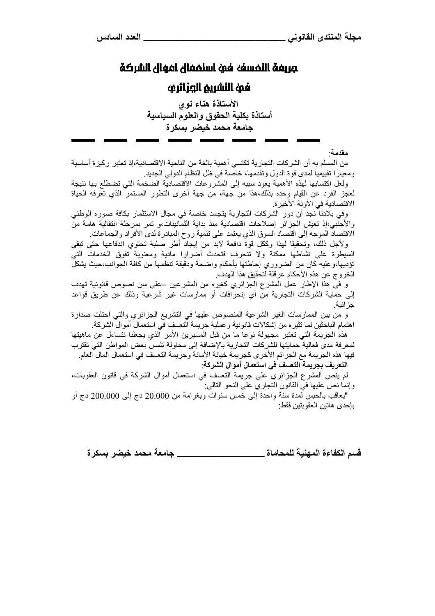# مَعَ سَنَالَ Antentic أَمَوْنَ نفسِفنَالَ مَعْ الشَّرِيَّةِ الْمُسْحَدَّةِ بَعْدَ الْمُسَاحَةِ

## لغمة النشريم الصرائرفه

الأستاذة هناء نوى أستاذة بكلية الحقوق والعلوم السياسية جامعة محمد خيضر بسكرة

مقدمة·

من المسلم به أن الشركات التجارية تكتسى أهمية بالغة من الناحية الاقتصادية،إذ تعتبر ركيزة أساسية و معيار ا تقييميا لمدى قو ة الدو ل و تقدمها، خاصـة في ظل النظـام الدو لـي الـجديد .

ولعل اكتسابها لهذه الأهمية يعود سببه إلى المشروعات الاقتصادية الضخمة التبي تضطلع بها نتيجة لعجز الفرد عن القيام وحده بذلك،هذا من جهة، من جهة أخرى النطور المستمر الذي نعرفه الحياة الاقتصادية في الآونة الأخير ة.

وفي بلادنا نجد أن دور الشركات التجارية يتجسد خاصة في مجال الاستثمار بكافة صوره الوطني والأجنبي،إذ تعيش الجزائر إصلاحات اقتصادية منذ بداية الثمانينات،و تمر بمرحلة انتقالية هامة من الاقتصاد الموجه إلى اقتصاد السوق الذي يعتمد على تنمية روح المبادرة لدى الأفراد والجماعات

ولأجل ذلك، وتحقيقا لهذا وككل قوة دافعة لابد من إيجاد أطر صلبة تحتوي اندفاعها حتى تبقى السيطرة على نشاطها ممكنة ولا تنحرف فتحدث أضرارا مادية ومعنوية تفوق الخدمات التبي تؤديها،وعليه كان من الضروري إحاطتها بأحكام واضحة ودقيقة تنظمها من كافة الجوانب،حيث يشكل الخر وج عن هذه الأحكام عرقلة لتحقيق هذا الهدف.

و في هذا الإطار عمل المشرع الجزائري كغيره من المشرعين –على سن نصوص قانونية تهدف إلى حماية الشركات التجارية من أي إنحرافات أو ممارسات غير شرعية وذلك عن طريق قواعد جز ائية.

و من بين الممارسات الغير الشرعية المنصوص عليها في التشريع الجزائري والتبي احتلت صدارة اهتمام الباحثين لما تثير ِه من اِشكالات قانو نية و عملية جريمة التعسف في استعمال أموال الشركة.

هذهُ الجريمة التي تعتبر مجهولة نوعًا ما من قبل المسيرين الأمر الذي يجعلنا نتساءل عن ماهيتها لمعرفة مدى فعالية حمايتها للشركات التجارية بالإضافة إلى محاولة تلمس بعض المواطن التي تقترب فيها هذه الجريمة مع الجرائم الأخرى كجريمة خيانة الأمانة وجريمة التعسف في استعمال المال العام التعريف بجريمة التعسف في استعمال أموال الشركة:

لم ينص المشرع الجزائري على جريمة التعسف في استعمال أموال الشركة في قانون العقوبات، وإنما نص عليها في القانون التجاري على النحو التالي:

"يعاقب بالحبس لمدة سنة واحدة إلى خمس سنوات وبغرامة من 20.000 دج إلى 200.000 دج أو بإحدى هاتين العقو بتين فقط

\_\_ حامعة محمد خيضر بسكر ة قسم الكفاءة المهنية للمحاماة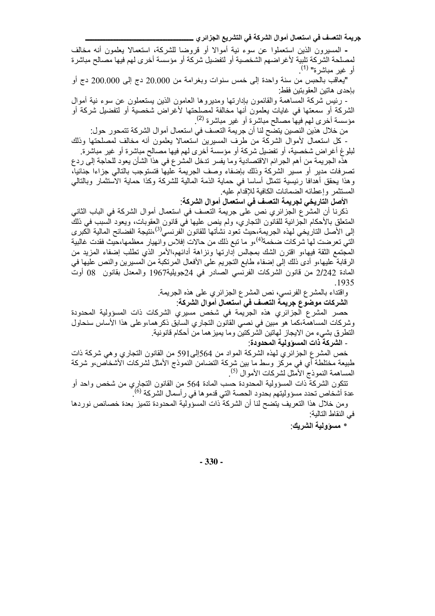جريمة التعسف في استعمال أموال الشركة في التشريع الجزائر ي \_\_

- المسيرون الذين استعملوا عن سوء نية أموالا أو قروضا للشركة، استعمالا يعلمون أنه مخالف لمصلحة الشركة تلبية لأغراضهم الشخصية أو لتفضيل شركة أو مؤسسة أخرى لهم فيها مصالح مباشرة أو غير مباشرة" <sup>(1)</sup>.

"يعاقب بالحبس من سنة واحدة إلى خمس سنوات وبغرامة من 20.000 دج إلى 200.000 دج أو بإحدى هاتين العقوبتين فقط

- رئيس شركة المساهمة والقائمون بإدارتها ومديروها العامون الذين يستعملون عن سوء نية أموال الشركة أو سمعتها في غايات يعلمون أنها مخالفة لمصلحتها لأغراض شخصية أو لتفضيل شركة أو مؤسسة أخرى لمهم فيها مصـالح مباشرة أو غير مباشرة <sup>(2)</sup>.

من خلال هذين النصين يتضح لنا أن جريمة التعسف في استعمال أموال الشركة تتمحور حول:

- كل استعمال لأموال الشركة من طرف المسيرين استعمالا يعلمون أنه مخالف لمصلحتها وذلك لْبِلُوغِ أُغْرَاضٍ شَخْصِيةٍ، أَو تَفْضَيْلِ شَرِكَةٍ أَو مؤسسةٍ أُخْرِي لَهِم فيها مصالحٍ مباشْرةٍ أو غير مباشرة

هذه الجريمة من أهم الجرائم الاقتصادية وما يفسر تدخل المشرع في هذا الشأن يعود للحاجة إلى ردع تصرفات مدير أو مسير الشركة وذلك بإضفاء وصف الجريمة عليها فتستوجب بالتالي جزاءا جنائيا، وهذا يحقق أهدافا رئيسية تتمثل أساسا في حماية الذمة المالية للشركة وكذا حماية الاستثمار وبالتالي المستثمر وإعطائه الضمانات الكافية للإقدام عليه

الأصل التاريخي لجريمة التعسف في استعمال أموال الشركة:

ذكرنا أن المشرع الجزائري نص على جريمة التعسف في استعمال أموال الشركة في الباب الثاني المنعلق بالأحكام الجزائية للقانون النجاري، ولم ينص عليها في قانون العقوبات، ويعود السبب في ذلك إلى الأصل التاريخي لهذه الجريمة،حيث تعود نشأتها للقانون الفرنسي<sup>(3)</sup>،نتيجة الفضائح المالية الكبرى التي تعرضت لها شركات ضخمة<sup>(4)</sup>،و ما تبع ذلك من حالات إفلاس وانهيار معظمها،حيث فقدت غالبية المجتمع الثقة فيهاءو اقترن الشك بمجالس إدارتها ونزاهة أدائهم،الأمر الذي تطلب إضفاء المزيد من الرقابة عليها،و أدى ذلك إلى إضفاء طابع التجريم على الأفعال المرتكبة من المسيرين والنص عليها في المادة 2/242 من قانون الشركات الفرنسي الصـادر في 24جويلية1967 والمعدل بقانون 08 أوت .1935

> واقتداء بالمشرع الفرنسي، نص المشرع الـجزائري علـي هذه الـجريمة. الشركات موضوع جريمة التعسف في استعمال أموال الشركة:

حصر المشرع الجزائري هذه الجريمة في شخص مسيري الشركات ذات المسؤولية المحدودة وشركات المساهمة،كما هو مبين في نصبي القانون التجاري السابق ذكر هما،وعلى هذا الأساس سنحاول النطرق بشيء من الايجاز لمهاتين الشركتين وما يميز هما من أحكام قانونية.

- الشركة ذات المسوولية المحدودة:

خص المشرع الجزائري لهذه الشركة المواد من 564إلى591 من القانون التجاري وهي شركة ذات طبيعة مختلطة أي في مركز وسط ما بين شركة التضامن النموذج الأمثل لشركات الأشخاص،و شركة المساهمة النموذج الأمثل لشركات الأموال <sup>(5)</sup>

تتكون الشركة ذات المسؤولية المحدودة حسب المادة 564 من القانون التجاري من شخص واحد أو عدة أشخاص تحدد مسؤوليتهم بحدود الحصة التي قدمو ها في ر أسمال الشركة <sup>(6)</sup>.

ومن خلال هذا النعريف يتضح لنا أن الشركة ذات المسؤولية المحدودة تتميز بعدة خصائص نور دها في النقاط التالية:

\* مسؤولية الشريك:

 $-330-$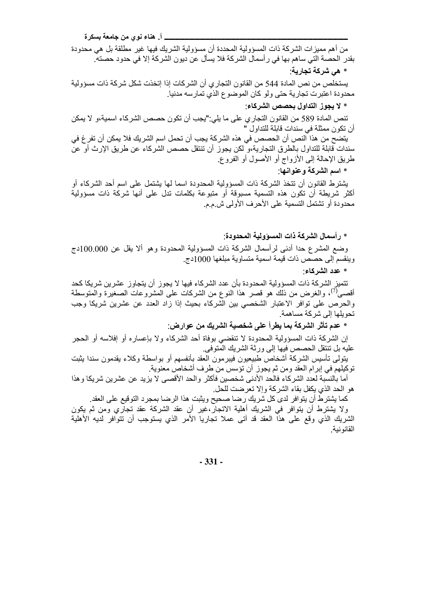\_ أ\_ هناء نوى من جامعة بسكرة

من أهم مميزات الشركة ذات المسؤولية المحددة أن مسؤولية الشريك فيها غير مطلقة بل هي محدودة بقدر الحصـة التي ساهم بـها في ر أسمال الشركة فلا يسأل عن ديون الشركة إلا في حدود حصته.

\* هي شركة تجارية:

يستخلص من نص المادة 544 من القانون التجار ي أن الشركات إذا إتخذت شكل شركة ذات مسؤولية محدودة اعتبرت تجارية حتى ولو كان الموضوع الذي تمارسه مدنيا.

\* لا يجوز التداول بحصص الشركاء:

تنص المادة 589 من القانون التجاري على ما يلي:"يجب أن تكون حصص الشركاء اسمية،و لا يمكن أن تكون ممثلة في سندات قابلة للتداول "

يتضح من هذا النص أن الحصص في هذه الشركة يجب أن تحمل اسم الشريك فلا يمكن أن تفر غ في سندات قابلة للتداول بالطر ق التجار ية،و لكن يجوز ۖ أن تنتقل حصص الشر كاء عن طر يق الإر ث أو ٍ عن طريق الإحالة إلى الأزواج أو الأصول أو الفروع.

\* اسم الشركة وعنوانها.

يشترط القانون أن نتخذ الشركة ذات المسؤولية المحدودة اسما لها يشتمل على اسم أحد الشركاء أو أكثر شريطة أن نكون هذه التسمية مسبوقة أو متبوعة بكلمات تدل على أنها شركة ذات مسؤولية محدودة أو نشتمل التسمية على الأحرف الأولى ش م م.

\* رأسمال الشركة ذات المسوولية المحدودة:

وضع المشرع حدا أدنـي لرأسمال الشركة ذات المسؤولية المحدودة وهو ألا يقل عن 100.000دج وينقسم إلى حصص ذات قيمة اسمية متساوية مبلغها 1000دج.

\* عدد الشركاء·

تتميز الشركة ذات المسؤولية المحدودة بأن عدد الشركاء فيها لا يجوز أن يتجاوز عشرين شريكا كحد أقصـي'')، والـغرض من ذلك هو قصـر هذا النوع من الشركات علـي المشروعات الصـغيرة والمتوسطة والحرص على توافر الاعتبار الشخصي بين الشركاء بحيث إذا زاد العدد عن عشرين شريكا وجب تحو بلھا الے شر کة مساهمة۔

\* عدم تأثر الشركة بما يطرأ على شخصية الشريك من عوارض:

إن الشركة ذات المسؤولية المحدودة لا تنقضي بوفاة أحد الشركاء ولا بإعساره أو إفلاسه أو الحجر عليه بل تنتقل الحصص فيها إلى ور ثة الشر يك المتو في.

بتولِّي تأسيس الشركة أشخاص طبيعيون فيبرمون العقد بأنفسهم أو بواسطة وكلاء يقدمون سندا بثبت توكيلهم في إبرام العقد ومن ثم يجوز أن تؤسس من طرف أشخاص معنوية.

أما بالنسبة لعدد الشركاء فالحد الأدنى شخصين فأكثر والحد الأقصى لا يزيد عن عشرين شريكا وهذا هو الحد الذي يكفل بقاء الشركة وإلا تعرضت للحل

كما يشترط أن يتوافر لدى كل شريك رضا صحيح ويثبت هذا الرضا بمجرد التوقيع على العقد. ولا يشترط أن يتوافر في الشريك أهلية الاتجار،غير أن عقد الشركة عقد تجاري ومن ثم يكون الشريك الذي وقع على هذا العقد قد أتـى عملا تجاريا الأمر الذي يستوجب أن تتوافر لديه الأهلية القانو نبة

 $-331-$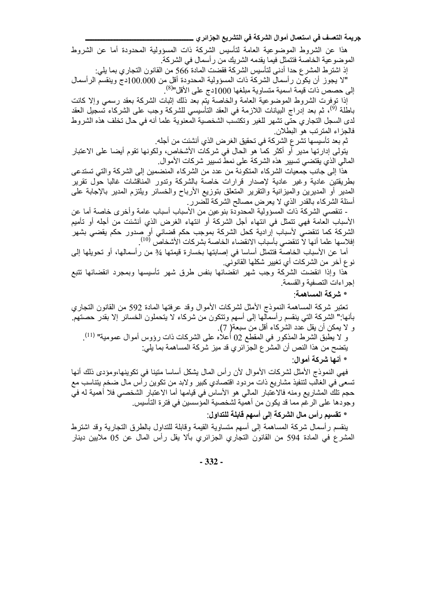جريمة التعسف في استعمال أموال الشركة في التشريع الجزائر ي\_

هذا عن الشروط الموضوعية العامة لتأسيس الشركة ذات المسؤولية المحدودة أما عن الشروط الموضوعية الخاصة فتتمثل فيما يقدمه الشريك من ر أسمال في الشركة.

إذ اشترط المشر ع حدا أدنى لتأسيس الشركة فقضت المادة 566 من القانون التجاري بما يلي: "لا يجوز أن يكون رأسمال الشركة ذات المسؤولية المحدودة أقل من 100.000دج وينقسم الرأسمال إلى حصص ذات قيمة اسمية متساوية مبلغها 1000دج على الأقل"<sup>(8)</sup>.

إذا توفرت الشروط الموضوعية العامة والخاصة يتم بعد ذلك إثبات الشركة بعقد رسمي وإلا كانت باطلة <sup>(9</sup>)، ثم بعد إدراج البيانات اللازمة في العقد التأسيسي للشركة وجب على الشركاء تسجيل العقد لدى السجل التجاري حتى تشهر للغير وتكتسب الشخصية المعنوية علما أنه في حال تخلف هذه الشروط فالجزاء المترتب هو البطلان

ثم بعد تأسيسها تشر ع الشركة في تحقيق الغر ض الذي أنشئت من أجله.

يتولى إدارتها مدير أو أكثر كما هو الحال في شركات الأشخاص، ولكونها تقوم أيضا على الاعتبار المالي الذي يقتضي تسيير ٍ هذه الشركة على نمط تسيير شركات الأموال.

هذا إلى جانب جمعيات الشركاء المتكونة من عدد من الشركاء المنضمين إلى الشركة والتي تستدعى بطريقتين عادية وغير عادية لإصدار قرارات خاصة بالشركة وتدور المناقشات غالبا حول تقرير المدير أو المديرين والميزانية والتقرير المتعلق بتوزيع الأرباح والخسائر ويلتزم المدير بالإجابة على أسئلة الشركاء بالقدر الذي لا يعرض مصـالح الشركة للضرر

- تنقصـي الشركـة ذات المسؤولية المحدودة بنوعين من الأسباب أسباب عامة وأخرى خاصـة أما عن الأسباب العامة فهي نتمثل في انتهاء أجل الشركة أو انتهاء الغرض الذي أنشئت من أجله أو تأميم الشركة كما تنقضى لأسباب إرادية كحل الشركة بموجب حكم قضائي أو صدور حكم يقضي بشهر إفلاسها علما أنها لاّ تنقضي بأسباب الانقضاء الخاصة بشركات الأشخاص <sup>(10)</sup>.

أما عن الأسباب الخاصة فتتمثَّل أساسا في إصابتها بخسارة قيمتها 3⁄4 من رأسمالها، أو تحويلها إلى نوع آخر من الشركات أي تغيير شكلها القانوني.

هذا وإذا انقضت الشركة وجب شهر انقضائها بنفس طرق شهر تأسيسها وبمجرد انقضائها تتبع إجراءات التصفية والقسمة

\* شركة المساهمة.

تعتبر شركة المساهمة النموذج الأمثل لشركات الأموال وقد عرفتها المادة 592 من القانون التجاري بأنها:" الشركة التي ينقسم رأسمالها إلى أسهم وتتكون من شركاء لا يتحملون الخسائر إلا بقدر حصتهم. و لا يمكن أن يقل عدد الشركاء أقل من سبعة( 7).

و لا يطبق الشرط المذكور في المقطع 02 أعلاه على الشركات ذات رؤوس أموال عمومية" <sup>(11)</sup>. يتضح من هذا النص أن المشر ع الجز ائر ي قد ميز شركة المساهمة بما يلي: \* أنها شر كة أمو ال

فهي النموذج الأمثل لشركات الأموال لأن رأس المال بشكل أساسا متينا في تكوينها،ومؤدي ذلك أنها تسعى في الغالب لتنفيذ مشاريع ذات مردود اقتصادي كبير ولابد من تكوين رأس مال ضخم يتناسب مع حجم تلك المشاريع ومنه فالاعتبار المالي هو الأساس في قيامها أما الاعتبار الشخصي فلا أهمية له في وجودها على الرغم مما قد يكون من أهمية لشخصية المؤسسين في فترة التأسيس.

\* تقسيم رأس مال الشركة إلى أسهم قابلة للتداول:

ينقسم رأسمال شركة المساهمة إلى أسهم متساوية القيمة وقابلة للتداول بالطرق التجارية وقد اشترط المشرع في المادة 594 من القانون التجاري الجزائري بألا يقل رأس المال عن 05 ملايين دينار

 $-332-$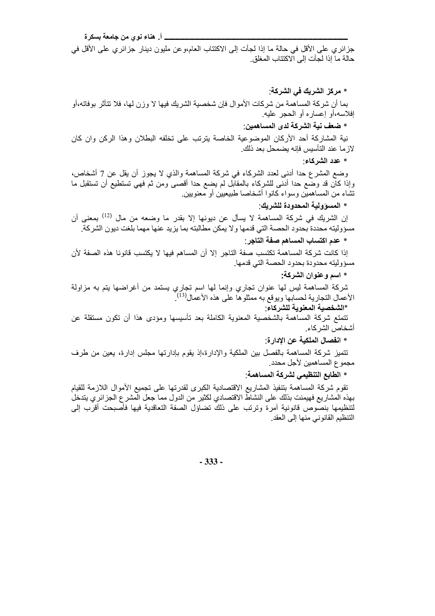\_\_ أ\_ هناء نوى من جامعة بسكرة

جزائري على الأقل في حالة ما إذا لجأت إلى الاكتتاب العام،وعن مليون دينار جزائري على الأقل في حالة ما إذا لجأت إلى الاكتتاب المغلق

\* مركز الشريك في الشركة:

بما أن شركة المساهمة من شركات الأموال فإن شخصية الشريك فيها لا وزن لها، فلا تتأثر بوفاته،أو إفلاسه،أو إعساره أو الحجر عليه.

\* ضعف نية الشركة لدى المساهمين ـ

نية المشاركة أحد الأركان الموضوعية الخاصة يترتب على تخلفه البطلان وهذا الركن وان كان لاز ما عند التأسيس فإنه يضمحل بعد ذلك.

\* عدد الشركاء:

وضع المشرع حدا أدنبي لعدد الشركاء في شركة المساهمة والذي لا يجوز أن يقل عن 7 أشخاص، وإذا كان قد وضع حدا أدنى للشركاء بالمقابل لم يضع حدا أقصى ومن ثم فهي تستطيع أن تستقبل ما تشاء من المساهمين وسواء كانوا أشخاصا طبيعيين أو معنويين

\* المسوّ ولية المحدودة للشريك:

إن الشريك في شركة المساهمة لا يسأل عن ديونها إلا بقدر ما وضعه من مال <sup>(12)</sup> بمعنى أن مسؤوليته محددة بحدود الحصة التي قدمها ولا يمكن مطالبته بما يزيد عنها مهما بلغت ديون الشركة

\* عدم اكتساب المساهم صفة التاجر :

إذا كانت شركة المساهمة تكتسب صفة التاجر إلا أن المساهم فيها لا يكتسب قانونا هذه الصفة لأن مسؤوليته محدودة بحدود الحصبة التي قدمها

\* اسم وعنوان الشركة:

شركة المساهمة ليس لمها عنوان تجاري وإنما لمها اسم تجاري يستمد من أغراضها يتم به مزاولة الأعمال التجارية لحسابها ويوقع به ممثلوها على هذه الأعمال<sup>(13)</sup>.

\*الشخصية المعنوية للشركاء:

تتمتع شركة المساهمة بالشخصية المعنوية الكاملة بعد تأسيسها ومؤدى هذا أن تكون مستقلة عن أشخاص الشركاء

\* انفصال الملكية عن الادار ة:

تتميز شركة المساهمة بالفصل بين الملكية والإدارة،إذ يقوم بإدارتها مجلس إدارة، يعين من طرف مجموع المساهمين لأجل محدد.

\* الطابع التنظيمي لشركة المساهمة:

تقوم شركة المساهمة بتنفيذ المشاريع الاقتصادية الكبرى لقدرتها على تجميع الأموال اللازمة للقيام بهذه المشاريع فهيمنت بذلك على النشاط الاقتصادي لكثير من الدول مما جعل المشر ع الجز ائر ي يتدخل لتنظيمها بنصوص قانونية أمرة وترتب على ذلك تضاؤل الصفة التعاقدية فيها فأصبحت أقرب إلى التنظيم القانوني منها إلى العقد

 $-333-$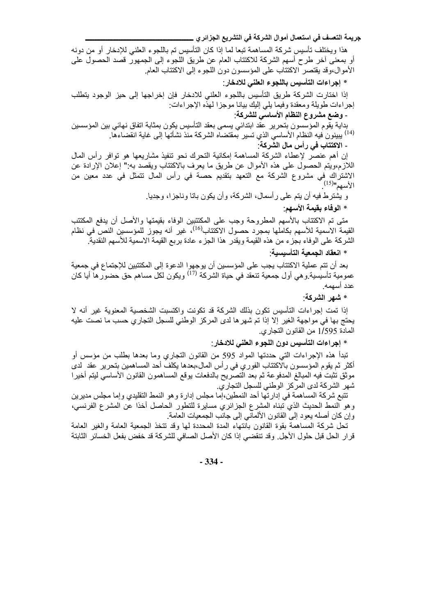جريمة التعسف في استعمال أموال الشركة في التشريع الجزائر ي\_

هذا ويختلف تأسيس شركة المساهمة تبعا لما إذا كان التأسيس تم باللجوء العلني للإدخار أو من دونه أو بمعنى أخر طرح أسهم الشركة للاكتتاب العام عن طريق اللجوء إلى الجمهور قصد الحصول على الأموال،وقد يقتصر الاكتتاب على المؤسسون دون اللجوء إلى الاكتتاب العام.

\* إجراءات التأسيس باللجوء العلنى للادخار :

إذا اختارت الشركة طريق التأسيس باللجوء العلني للادخار فإن إخراجها إلى حيز الوجود يتطلب إجراءات طويلة ومعقدة وفيما يلي إليك بيانا موجزا لهذه الإجراءات:

- وضع مشروع النظام الأساسى للشركة

بداية يقوم المؤسسون بتحرير عقد ابتدائي يسمى بعقد التأسيس يكون بمثابة اتفاق نهائي بين المؤسسين <sup>(14)</sup> يبينون فيه النظام الأساسي الذي تسير بمقتضاه الشركة منذ نشأتها إلى غاية انقضاءها<sub>.</sub>

- الاكتتاب في رأس مال الشركة:

إن أهم عنصر لإعطاء الشركة المساهمة إمكانية التحرك نحو تنفيذ مشاريعها هو توافر رأس المال اللازم،ويتم الحصول على هذه الأموال عن طريق ما يعرف بالاكتتاب ويقصد به " إعلان الإرادة عن الاشتراك في مشروع الشركة مع النعهد بنقديم حصة في رأس المال نتمثل في عدد معين من<br>الأسهم"<sup>(15)</sup>

و يشترط فيه أن يتم على رأسمال، الشركة، وأن يكون باتا وناجزا، وجديا.

\* الوفاء بقيمة الأسهم:

متى تم الاكتتاب بالأسهم المطروحة وجب على المكتتبين الوفاء بقيمتها والأصل أن يدفع المكتتب القيمة الاسمية للأسهم بكاملها بمجرد حصول الاكتتاب<sup>(16)</sup>، غير أنه يجوز للمؤسسين النص في نظام الشركة على الوفاء بجزء من هذه القيمة ويقدر هذا الجزء عادة بربع القيمة الاسمية للأسهم النقدية

\* انعقاد الجمعية التأسيسية.

بعد أن نتم عملية الاكتتاب يجب على المؤسسين أن يوجهوا الدعوة إلى المكتتبين للإجتماع في جمعية عمومية تأسيسية وهي أول جمعية تنعقد في حياة الشركة <sup>(17)</sup> ويكون لكل مساهم حق حضور ها أيا كان عدد أسهمه.

\* شهر الشركة.

إذا تمت إجراءات التأسيس تكون بذلك الشركة قد تكونت واكتسبت الشخصية المعنوية غير أنه لا يحتج بها في مواجهة الغير إلا إذا تم شهر ها لدى المركز الوطني للسجل التجاري حسب ما نصت عليه المادة 1/595 من القانون التجاري.

\* إجراءات التأسيس دون اللجوء العلني للادخار :

تبدأ هذه الإجراءات التي حددتها المواد 595 من القانون التجاري وما بعدها بطلب من مؤسس أو أكثر ثم يقوم المؤسسون بالاكتتاب الفوري في رأس المال،بعدها يكلف أحد المساهمين بتحرير عقد لدى موثق تثبت فيه المبالغ المدفوعة ثم بعد التصريح بالدفعات يوقع المساهمون القانون الأساسي ليتم أخيرا شهر الشركة لدى المركز الوطني للسجل التجاري.

تتبع شركة المساهمة في إدارتها أحد النمطين،إما مجلس إدارة وهو النمط التقليدي وإما مجلس مديرين وهو النمط الحديث الذي نبناه المشرع الجزائري مسايرة للتطور الحاصل أخذا عن المشرع الفرنسي، وإن كان أصله يعود إلى القانون الألماني إلى جانب الجمعيات العامة

تحل شركة المساهمة بقوة القانون بانتهاء المدة المحددة لمها وقد تتخذ الجمعية العامة والغير العامة قرار الحل قبل حلول الأجل. وقد تنقضي إذا كان الأصل الصافي للشركة قد خفض بفعل الخسائر الثابتة

 $-334-$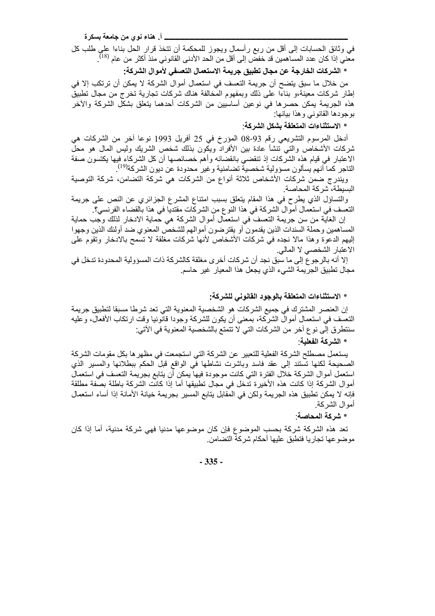\_\_ أ. هناء نوي من جامعة بسكرة

في وثائق الحسابات إلى أقل من ربع رأسمال ويجوز للمحكمة أن نتخذ قرار الحل بناءا على طلب كل معني إذا كان عدد المساهمين قد خفضّ إلى أقل من الّحد الأدنى القّانوني منّذ أكثر من عام <sup>(18)</sup>.

\* الشركات الخارجة عن مجال تطبيق جريمة الاستعمال التعسفي لأموال الشركة:

من خلال ما سبق يتضح أن جريمة التعسف في استعمال أموال الشركة لا يمكن أن ترتكب إلا في إطار شركات معينة،و بناءا على ذلك وبمفهوم المخالفة هناك شركات تجارية تخرج من مجال نطبيقٌ هذه الجريمة يمكن حصرها في نوعين أساسيين من الشركات أحدهما يتعلق بشكل الشركة والأخر بوجودها القانوني وهذا بيانها

### \* الاستثناءات المتعلقة بشكل الشركة:

أدخل المرسوم التشريعي رقم 93-08 المؤرخ في 25 أفريل 1993 نوعا أخر من الشركات هي شركات الأشخاص والتي تنشأ عادة بين الأفراد ويكون بذلك شخص الشريك وليس المال هو محل الاعتبار في قيام هذه الشركات إذ تنقضي بانقضائه وأهم خصائصها أن كل الشركاء فيها يكتسون صفة الناجر كما أنهم يسألون مسؤولية شخصية تضامنية وغير محدودة عن ديون الشركة<sup>(19)</sup>.

ويندرج ضمن شركات الأشخاص ثلاثة أنواع من الشركات هي شركة التضامن، شركة التوصية البسيطة، شركة المحاصة

والتساؤل الذي يطرح في هذا المقام يتعلَّق بسبب امتناع المشرع الجزائري عن النص على جريمة النعسف في استعمال أموال الشركة في هذا النوع من الشركات مقتديا في هذا بالقضاء الفرنسي؟.

إن الغاية من سن جريمة النعسف في استعمال أموال الشركة هي حماية الادخار لذلك وجب حماية المساهمين وحملة السندات الذين يقدمون أو يقترضون أموالهم للشخص المعنوي ضد أولئك الذين وجهوا إليهم الدعوة وهذا مالا نجده في شركات الأشخاص لأنها شركات مغلقة لا تسمح بالادخار وتقوم على الاعتبار الشخصى لا المالي.

إلا أنه بالرجوع إلى ما سبق نجد أن شركات أخر ي مغلقة كالشركة ذات المسؤولية المحدودة تدخل في مجال تطبيق الجريمة الشيء الذي يجعل هذا المعيار غير حاسم.

#### \* الاستثناءات المتعلقة بالوجود القانوني للشركة:

إن العنصر المشترك في جميع الشركات هو الشخصية المعنوية التي تعد شرطا مسبقا لتطبيق جريمة النعسف في استعمال أموال الشركة، بمعنى أن يكون للشركة وجودا قانونيا وقت ارتكاب الأفعال، وعليه سنتطرق إلى نوع أخر من الشركات التي لا تتمتع بالشخصية المعنوية في الآتي:

#### \* الشركة الفعلية.

يستعمل مصطلح الشركة الفعلية للتعبير عن الشركة التي استجمعت في مظهر ها بكل مقومات الشركة الصحيحة لكنها تستند إلى عقد فاسد وباشرت نشاطها في الواقع قبل الحكم ببطلانها والمسير الذي استعمل أموال الشركة خلال الفترة التي كانت موجودة فيها يمكن أن يتابع بجريمة التعسف في استعمال أموال الشركة إذا كانت هذه الأخيرة تدخل في مجال تطبيقها أما إذا كانت الشركة باطلة بصفة مطلقة فإنه لا يمكن تطبيق هذه الجريمة ولكن في المقابل يتابع المسير بجريمة خيانة الأمانة إذا أساء استعمال أمو ال الشر كة.

### \* شركة المحاصة

تعد هذه الشركة شركة بحسب الموضوع فإن كان موضوعها مدنيا فهي شركة مدنية، أما إذا كان موضوعها تجاريا فتطبق عليها أحكام شركة التضامن

#### $-335-$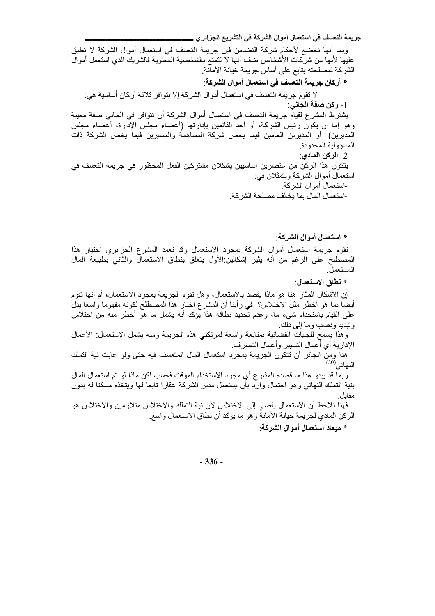جريمة التعسف في استعمال أموال الشركة في التشريع الجزائر ي \_

وبما أنها تخضع لأحكام شركة التضامن فإن جريمة التعسف في استعمال أموال الشركة لا تطبق عليها لأنها من شركات الأشخاص ضف أنها لا تتمتع بالشخصية المعنوية فالشريك الذي استعمل أموال الشر كة لمصلحته يتابع على أساس جر يمة خيانة الأمانة.

\* أركان جريمة التعسف في استعمال أموال الشركة: لا تقوم جريمة التعسف في استعمال أموال الشركة إلا بتوافر ثلاثة أركان أساسية هي: <u>1</u> - ركن صفة الجاني. يشترط المشرع لقيام جريمة التعسف في استعمال أموال الشركة أن تتوافر في الجانبي صفة معينة و هو إما أن يكون رئيس الشركة، أو أحد القائمين بإدار تها (أعضاء مجلس الإدار ة، أعضاء مجلس المديرين). أو المديرين العامين فيما يخص شركة المساهمة والمسيرين فيما يخص الشركة ذات المسؤ ولية المحدو دة 2- الركن المادي: يتكون هذا الركن من عنصرين أساسيين يشكلان مشتركين الفعل المحظور في جريمة التعسف في استعمال أموال الشركة ويتمثلان في: -استعمال أموال الشركة -استعمال المال بما يخالف مصلحة الشر كة.

\* استعمال أمو ال الشر كة:

تقوم جريمة استعمال أموال الشركة بمجرد الاستعمال وقد تعمد المشرع الجزائري اختيار هذا المصطلح على الرغم من أنه يثير إشكالين الأول يتعلق بنطاق الاستعمال والثاني بطبيعة المال المستعمل

\* نطاق الاستعمال:

إن الأشكال المثار ِ هنا هو ماذا يقصد بالاستعمال، و هل تقوم الجريمة بمجرد الاستعمال، أم أنها تقوم أيضًا بما هو أخطر مثَّل الاختلاس؟ ۖ في رأينا أن المشرع اختار ۖ هذا المصطلح لكونه مفهومًا واسعًا يدلّ على القيام باستخدام شيء ما، وعدم تحديد نطاقه هذا يؤكد أنه يشمل ما هو أخطر منه من اختلاس ونبديد ونصب وما إلى ذلك

وهذا يسمح للجهات القضائية بمنابعة واسعة لمرتكبي هذه الجريمة ومنه يشمل الاستعمال الأعمال الإدارية أي أعمال التسيير وأعمال التصرف.

هذا ومن الجائز أن نتكون الجريمة بمجرد استعمال المال المتعسف فيه حتى ولو غابت نية التملك النهائي<sup>(20)</sup>.

ربما قد يبدو هذا ما قصده المشر ع أي مجرد الاستخدام المؤقت فحسب لكن ماذا لو تم استعمال المال بنية التملك النهائبي وهو احتمال وارد بأن يستعمل مدير الشركة عقارا تابعا لمها ويتخذه مسكنا له بدون مقاىل

فهنا نلاحظ أن الاستعمال يفضيي إلى الاختلاس لأن نية التملك والاختلاس متلازمين والاختلاس هو الركن المادي لجريمة خيانة الأمانة وهو ما يؤكد أن نطاق الاستعمال واسع

\* ميعاد استعمال أموال الشركة:

 $-336-$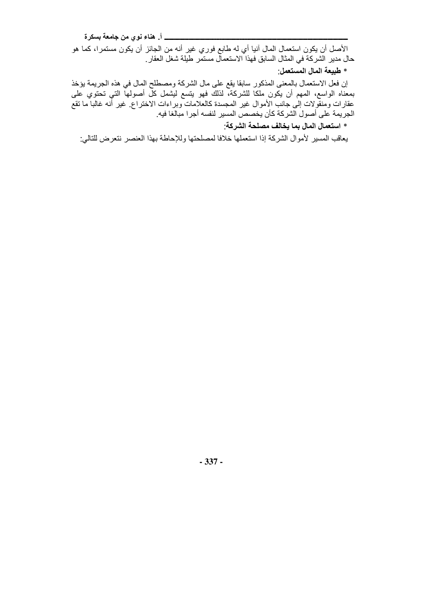\_\_\_\_\_\_\_ أ\_ هناء نوي من جامعة بسكرة

الأصل أن يكون استعمال المال أنيا أي له طابع فوري غير أنه من الجائز أن يكون مستمرا، كما هو حال مدير الشركة في المثال السابق فهذا الاستعمال مستمر طيلة شغل العقار

\* طبيعة المال المستعمل:

إن فعل الاستعمال بالمعنى المذكور سابقا يقع على مال الشركة ومصطلح المال في هذه الجريمة يؤخذ .<br>بمعناه الواسع، الممهم أن يكون ملكاً للشركة، لذلك فهو يتسع ليشمل كل أصولها التي تحتوي على<br>عقارات ومنقولات إلى جانب الأموال غير المجسدة كالعلامات وبراءات الاختراع غير أنه غالبا ما تقع الجريمة على أصول الشركة كأن يخصص المسير لنفسه أجرا مبالغا فيه.

\* استعمال المال بما يخالف مصلحة الشركة:

يعاقب المسير لأموال الشركة إذا استعملها خلافا لمصلحتها وللإحاطة بهذا العنصر نتعرض للتالي.

 $-337-$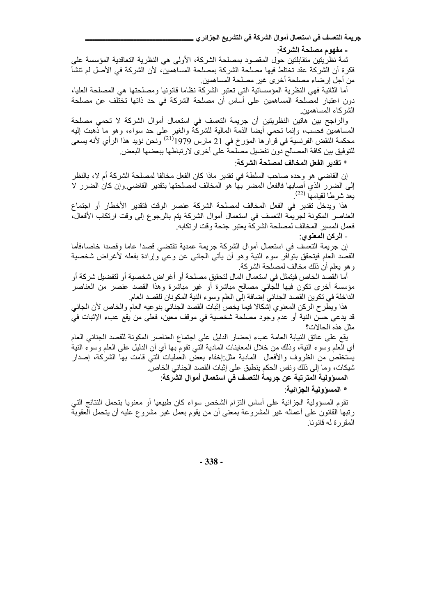جريمة التعسف في استعمال أموال الشركة في التشريع الجزائر ي

- مفهوم مصلحة الشركة:

ثمة نظريتين متقابلتين حول المقصود بمصلحة الشركة، الأولى هي النظرية التعاقدية المؤسسة على فكر ة أن الشركة عقد تختلط فيها مصلحة الشركة بمصلحة المساهمين، لأن الشركة في الأصل لم تنشأ من أجل إرضاء مصلحة أخرى غير مصلحة المساهمين

أما الثانية فهي النظرية المؤسساتية التي تعتبر الشركة نظاما قانونيا ومصلحتها هي المصلحة العليا، دون اعتبار لمصلحة المساهمين على أساس أن مصلحة الشركة في حد ذاتها تختلف عن مصلحة الشركاء المساهمين

والراجح بين هاتين النظريتين أن جريمة التعسف في استعمال أموال الشركة لا تحمى مصلحة المساهمين فحسب، وإنما نحمى أيضا الذمة المالية للشركة والغير على حد سواء، وهو ما ذهبت إليه محكمة النقض الفرنسية في قرآر ها المؤرخ في 21 مارس 1979<sup>(21)</sup> ونحن نؤيد هذا الرأي لأنه يسعى للتوفيق بين كافة المصالح دون تفضيل مصلحة على أخرى لارتباطها ببعضها البعض

## \* تقدير الفعل المخالف لمصلحة الشركة:

إن القاضي هو وحده صاحب السلطة في تقدير ماذا كان الفعل مخالفا لمصلحة الشركة أم لا، بالنظر إلى الضرر الذي أصابها فالفعل المضر بها هو المخالف لمصلحتها بتقدير القاضي وإن كان الضرر لا يعد شرطا لقيامها <sup>(22)</sup>.

هذا ويدخل تقدير في الفعل المخالف لمصلحة الشركة عنصر الوقت فتقدير الأخطار أو اجتماع العناصر المكونة لجريمة التعسف في استعمال أموال الشركة بتم بالرجوع إلى وقت ارتكاب الأفعال، فعمل المسير المخالف لمصلحة الشركة يعتبر جنحة وقت ارتكابه

- الركن المعنو ي <u>:</u>

إن جريمة التعسف في استعمال أموال الشركة جريمة عمدية تقتضي قصدا عاما وقصدا خاصا،فأما القصد العام فيتحقق بتوافر سوء النية وهو أن يأتـي الـجانـي عن وعـي وإرادة بفعله لأغراض شخصية وهو يعلم أن ذلك مخالف لمصلحة الشركة.

أما القصد الخاص فيتمثل في استعمال المال لتحقيق مصلحة أو أغراض شخصية أو لتفضيل شركة أو مؤسسة أخرى نكون فيها للجاني مصالح مباشرة أو غير مباشرة وهذا القصد عنصر من العناصر الداخلة في تكوين القصد الجنائي إضافة إلى العلم وسوء النية المكونان للقصد العام.

هذا ويطرح الركن المعنوي إشكالا فيما يخص إثبات القصد الجنائي بنوعيه العام والخاص لأن الجانبي قد يدعى حسن النية أو عدم وجود مصلحة شخصية في موقف معين، فعلى من يقع عبء الإثبات في مثل هذه الحالات؟

يقع على عاتق النيابة العامة عبء إحضار الدليل على اجتماع العناصر المكونة للقصد الجنائي العام أي العلم وسوء النية، وذلك من خلال المعاينات المادية التـي تقوم بـها أي أن الدليل علـي العلم وسوء النية يستخلص من الظروف والأفعال المادية مثل إخفاء بعض العمليات التـي قامت بـها الشركة، إصدار شيكات، وما إلى ذلك ونفس الحكم ينطبق على إثبات القصد الجنائي الخاص.

المسوولية المترتبة عن جريمة التعسف في استعمال أموال الشركة:

\* المسوولية الجزائية:

تقوم المسؤولية الجزائية على أساس التزام الشخص سواء كان طبيعيا أو معنويا بتحمل النتائج التبي رنبها القانون على أعماله غير المشروعة بمعنى أن من يقوم بعمل غير مشروع عليه أن يتحمل العقوبة المقررة لـه قانونـا

 $-338-$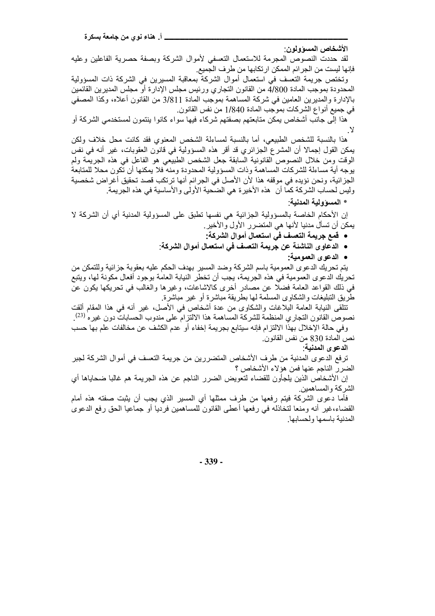الأشخاص المسؤولون:

لقد حددت النصوص المجرمة للاستعمال التعسفي لأموال الشركة وبصفة حصرية الفاعلين وعليه فإنها ليست من الجر ائم الممكن ارتكابها من طرف الجميع

وتختص جريمة التعسف في استعمال أموال الشركة بمعاقبة المسيرين في الشركة ذات المسؤولية المحدودة بموجب المادة 4/800 من القانون النجاري ورئيس مجلس الإدارة أو مجلس المديرين القائمين بالإدارة والمديرين العامين في شركة المساهمة بموجب المادة 3/811 من القانون أعلاه، وكذا المصفى في جميع أنواع الشركات بموجب المادة 1/840 من نفس القانون.

هذا إلى جانب أشخاص بمكن متابعتهم بصفتهم شركاء فيها سواء كانوا بنتمون لمستخدمي الشركة أو . Y

هذا بالنسبة للشخص الطبيعي، أما بالنسبة لمساءلة الشخص المعنوي فقد كانت محل خلاف ولكن يمكن القول إجمالًا أن المشرع الجزائري قد أقر هذه المسؤولية في قانون العقوبات، غير أنه في نفس الوقت ومن خلال النصوص القانونية السابقة جعل الشخص الطبيعي هو الفاعل في هذه الجريمة ولم بوجه أية مساءلة للشركات المساهمة وذات المسؤولية المحدودة ومنه فلا يمكنها أن تكون محلا للمتابعة الجزائية، ونحن نؤيده في موقفه هذا لأن الأصل في الجرائم أنها ترتكب قصد تحقيق أغراض شخصية وليس لحساب الشركة كما أن هذه الأخيرة هي الضحية الأولى والأساسية في هذه الجريمة ِ

\* المسؤولية المدنية:

إن الأحكام الخاصة بالمسؤولية الجزائية هي نفسها تطبق على المسؤولية المدنية أي أن الشركة لا يمكن أن تسأل مدنيا لأنها هي المتضرر الأول والأخير ِ

- قمع جريمة التعسف في استعمال أموال الشركة:
- الدعاوى الناشئة عن جريمة التعسف في استعمال أموال الشركة:
	- الدعوى العمومية:

يتم تحريك الدعوى العمومية باسم الشركة وضد المسير بهدف الحكم عليه بعقوبة جزائية وللتمكن من تحريك الدعوى العمومية في هذه الجريمة، يجب أن تخطر النيابة العامة بوجود أفعال مكونة لها، ويتبع في ذلك القواعد العامة فضلا عن مصادر أخرى كالاشاعات، وغيرها والغالب في تحريكها يكون عن طريق التبليغات والشكاوى المسلمة لمها بطريقة مباشرة أو غير مباشرة

تتلقى النيابة العامة البلاغات والشكاوى من عدة أشخاص في الأصل، غير أنه في هذا المقام ألقت نصوص القانون التجاري المنظمة للشركة المساهمة هذا الالتزام على مندوب الحسابات دون غيره <sup>(23)</sup>.

وفي حالة الإخلال بهذا الالتزام فإنه سيتابع بجريمة إخفاء أو عدم الكشف عن مخالفات علم بها حسب نص المادة 830 من نفس القانون.

الدعوى المدنية:

ترفع الدعوى المدنية من طرف الأشخاص المتضررين من جريمة التعسف في أموال الشركة لجبر الضرر الناجم عنها فمن هؤلاء الأشخاص ؟

إن الأشخاص الذين يلجأون للقضاء لتعويض الضرر الناجم عن هذه الجريمة هم غالبا ضحاياها أي الشر كة و المساهمين.

فأما دعوى الشركة فيتم رفعها من طرف ممثلها أي المسير الذي يجب أن يثبت صفته هذه أمام القضاء،غير أنه ومنعا لتخاذله في رفعها أعطي القانون للمساهمين فرديا أو جماعيا الحق رفع الدعوى المدنية باسمها ولحسابها

 $-339-$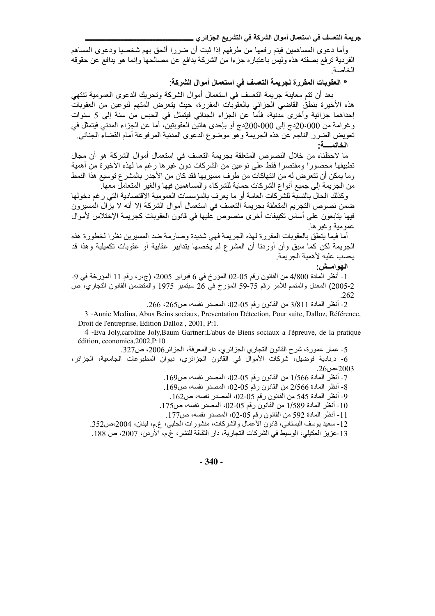جريمة التعسف في استعمال أموال الشركة في التشريع الجزائر ي\_

وأما دعوى المساهمين فيتم رفعها من طرفهم إذا ثبت أن ضررا ألحق بهم شخصيا ودعوى المساهم الفردية ترفع بصفته هذه وليس باعتباره جزءا من الشركة يدافع عن مصالحها وإنما هو يدافع عن حقوقه الخاصية

\* العقوبات المقررة لجريمة التعسف في استعمال أموال الشركة:

بعد أن نتم معاينة جريمة النعسف في استعمال أموال الشركة وتحريك الدعوى العمومية تنتهي هذه الأخيرة بنطق القاضـي الـجزائـي بالعقوبات المقررة، حيث يتعرض المتـهم لنوعين من العقوبات إحداهما جزائية وأخرى مدنية، فأما عن الجزاء الجنائي فيتمثَّل في الحبس من سنة إلى 5 سنوات وغرامة من 20،000دج إلى 200،000دج أو بإحدى هاتين العقوبتين، أما عن الجزاء المدنى فيتمثل في تعويض الضرر الناجم عن هذه الجريمة وهو موضوع الدعوى المدنية المرفوعة أمام القضاء الجنائي. الخاتمسة:

ما لاحظناه من خلال النصوص المتعلقة بجريمة التعسف في استعمال أموال الشركة هو أن مجال تطبيقها محصورا ومقتصرا فقط على نوعين من الشركات دون غيرها رغم ما لهذه الأخيرة من أهمية وما يمكن أن تتعرض له من انتهاكات من طرف مسيريها فقد كان من الأجدر بالمشر ع توسيع هذا النمط من الجريمة إلى جميع أنواع الشركات حماية للشركاء والمساهمين فيها والغير المتعامل معها.

وكذلك الحال بالنسبة للشركات العامة أو ما يعرف بالمؤسسات العمومية الاقتصادية التي ر غم دخولها ضمن نصوص التجريم المتعلقة بجريمة التعسف في استعمال أموال الشركة إلا أنه لا يزال المسيرون فيها يتابعون على أساس تكييفات أخرى منصوص عليها في قانون العقوبات كجريمة الإختلاس لأموال عمومية وغيرها.

أما فيما يتعلق بالعقوبات المقررة لهذه الجريمة فهي شديدة وصارمة ضد المسيرين نظرا لخطورة هذه الْجريمة لكن كما سبق وأن أوردنا أن المشرع لم يخصها بتدابير عقابية أو عقوبات تكميلية وهذا قد يحسب عليه لأهمية الجريمة

الـهوامــش:

1- أنظر المادة 4/800 من القانون رقم 05-02 المؤرخ في 6 فير اير 2005، (ج،ر ، رقم 11 المؤرخة في 9-2-2005) المعدل والمتمم للأمر رقم 75-59 المؤرخ في 26 سبتمبر 1975 والمتضمن القانون التجاري، ص .262

2- أنظر المادة 3/811 من القانون رقم 05-02، المصدر نفسه، ص265، 266.

3 - Annie Medina, Abus Beins sociaux, Preventation Détection, Pour suite, Dalloz, Référence, Droit de l'entreprise, Edition Dalloz, 2001, P:1.

4 - Eva Joly, caroline Joly, Baum Gartner: L'abus de Biens sociaux a l'épreuve, de la pratique édition, economica, 2002, P:10

5- عمار عمورة، شرح القانون التجاري الجزائري، دار المعرفة، الجزائر 2006، ص327. 6- دنادية فوضيل، شركات الأموال في القانون الجزائري، ديوان المطبوعات الجامعية، الجزائر، 2003،ص26.

7- أنظر المادة 1/566 من القانون رقم 05-02، المصدر نفسه، ص169. 8- أنظر المادة 2/566 من القانون رقم 05-02، المصدر نفسه، ص169. 9- أنظر المادة 545 من القانون رقم 05-02، المصدر نفسه، ص162. 10- أنظر المادة 1/589 من القانون رقم 05-02، المصدر نفسه، ص175.

11- أنظر المادة 592 من القانون رقم 05-02، المصدر نفسه، ص177.

12- سعيد بوسف البستانـي، قانون الأعمال والشركات، منشورات الـحلبـي، غ.م، لبنان، 2004،ص352.

13-عزيز العكيلي، الوسيط في الشركات التجارية، دار الثقافة للنشر، غ.م، الأردن، 2007، ص 188.

 $-340-$